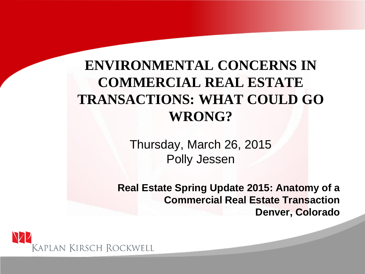#### **ENVIRONMENTAL CONCERNS IN COMMERCIAL REAL ESTATE TRANSACTIONS: WHAT COULD GO WRONG?**

Thursday, March 26, 2015 Polly Jessen

**Real Estate Spring Update 2015: Anatomy of a Commercial Real Estate Transaction Denver, Colorado**

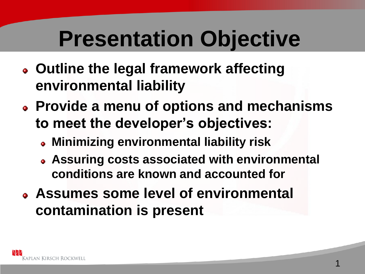# **Presentation Objective**

- **Outline the legal framework affecting environmental liability**
- **Provide a menu of options and mechanisms to meet the developer's objectives:**
	- **Minimizing environmental liability risk**
	- **Assuring costs associated with environmental conditions are known and accounted for**
- **Assumes some level of environmental contamination is present**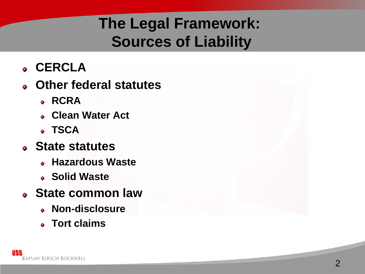# **The Legal Framework: Sources of Liability**

- **CERCLA**
- **Other federal statutes**
	- **RCRA**
	- **Clean Water Act**
	- **TSCA**
- **State statutes**
	- **Hazardous Waste**
	- **Solid Waste**
- **State common law**
	- **Non-disclosure**
	- **Tort claims**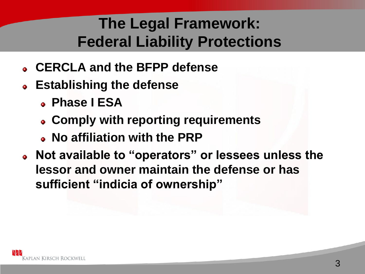# **The Legal Framework: Federal Liability Protections**

- **CERCLA and the BFPP defense**
- **Establishing the defense**
	- **Phase I ESA**
	- **Comply with reporting requirements**
	- **No affiliation with the PRP**
- **Not available to "operators" or lessees unless the lessor and owner maintain the defense or has sufficient "indicia of ownership"**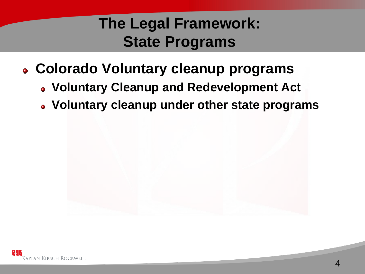### **The Legal Framework: State Programs**

- **Colorado Voluntary cleanup programs**
	- **Voluntary Cleanup and Redevelopment Act**
	- **Voluntary cleanup under other state programs**

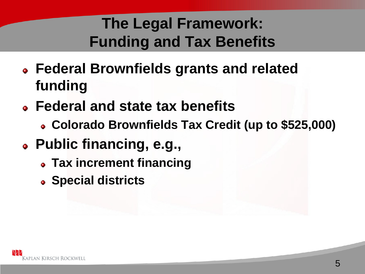# **The Legal Framework: Funding and Tax Benefits**

- **Federal Brownfields grants and related funding**
- **Federal and state tax benefits**
	- **Colorado Brownfields Tax Credit (up to \$525,000)**
- **Public financing, e.g.,**
	- **Tax increment financing**
	- **Special districts**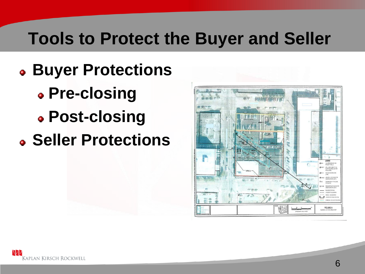# **Tools to Protect the Buyer and Seller**

- **Buyer Protections**
	- **Pre-closing**
	- **Post-closing**
- **Seller Protections**

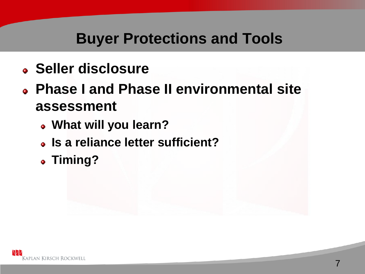- **Seller disclosure**
- **Phase I and Phase II environmental site assessment**
	- **What will you learn?**
	- **Is a reliance letter sufficient?**
	- **Timing?**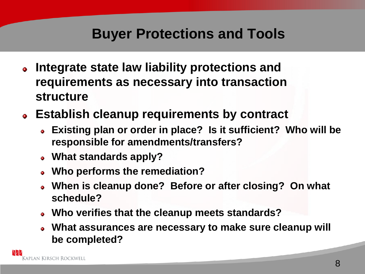- **Integrate state law liability protections and**   $\bullet$ **requirements as necessary into transaction structure**
- **Establish cleanup requirements by contract**
	- **Existing plan or order in place? Is it sufficient? Who will be responsible for amendments/transfers?**
	- **What standards apply?**
	- **Who performs the remediation?**
	- **When is cleanup done? Before or after closing? On what schedule?**
	- **Who verifies that the cleanup meets standards?**
	- **What assurances are necessary to make sure cleanup will be completed?**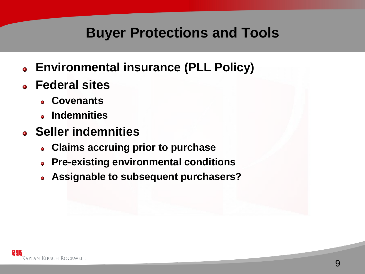- **Environmental insurance (PLL Policy)**
- **Federal sites** 
	- **Covenants**
	- **Indemnities**
- **Seller indemnities**
	- **Claims accruing prior to purchase**
	- **Pre-existing environmental conditions**
	- **Assignable to subsequent purchasers?**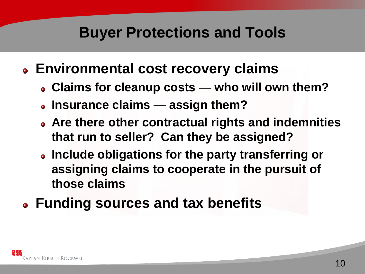- **Environmental cost recovery claims**
	- **Claims for cleanup costs who will own them?**
	- **Insurance claims assign them?**
	- **Are there other contractual rights and indemnities that run to seller? Can they be assigned?**
	- **Include obligations for the party transferring or assigning claims to cooperate in the pursuit of those claims**
- **Funding sources and tax benefits**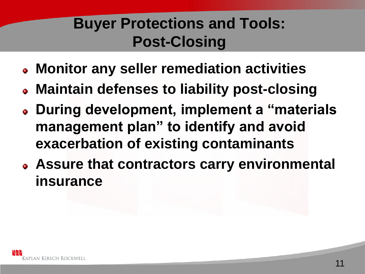## **Buyer Protections and Tools: Post-Closing**

- **Monitor any seller remediation activities**
- **Maintain defenses to liability post-closing**
- **During development, implement a "materials management plan" to identify and avoid exacerbation of existing contaminants**
- **Assure that contractors carry environmental insurance**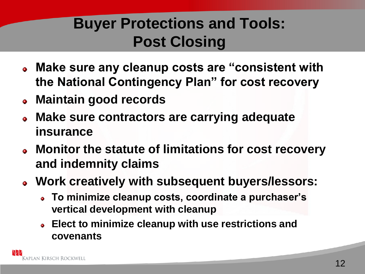# **Buyer Protections and Tools: Post Closing**

- **Make sure any cleanup costs are "consistent with the National Contingency Plan" for cost recovery**
- **Maintain good records**
- **Make sure contractors are carrying adequate insurance**
- **Monitor the statute of limitations for cost recovery and indemnity claims**
- **Work creatively with subsequent buyers/lessors:**
	- **To minimize cleanup costs, coordinate a purchaser's vertical development with cleanup**
	- **Elect to minimize cleanup with use restrictions and covenants**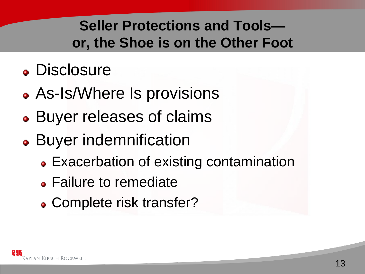#### **Seller Protections and Tools or, the Shoe is on the Other Foot**

# **• Disclosure**

- As-Is/Where Is provisions
- Buyer releases of claims
- Buyer indemnification
	- Exacerbation of existing contamination
	- Failure to remediate
	- Complete risk transfer?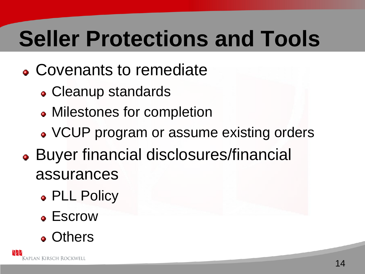# **Seller Protections and Tools**

- Covenants to remediate
	- Cleanup standards
	- Milestones for completion
	- VCUP program or assume existing orders
- Buyer financial disclosures/financial assurances
	- PLL Policy
	- Escrow
	- **.** Others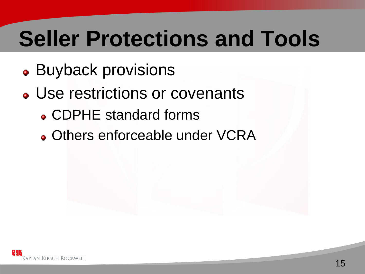# **Seller Protections and Tools**

- Buyback provisions
- Use restrictions or covenants
	- CDPHE standard forms
	- Others enforceable under VCRA